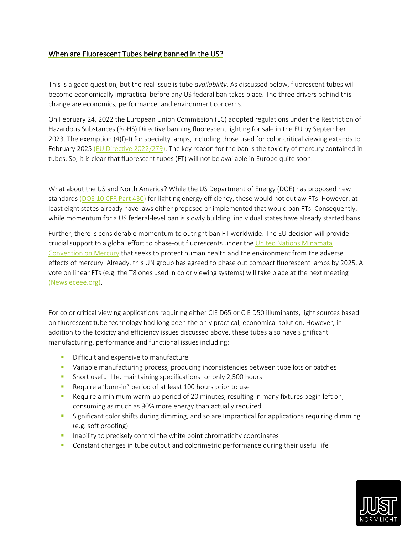## When are Fluorescent Tubes being banned in the US?

This is a good question, but the real issue is tube *availability*. As discussed below, fluorescent tubes will become economically impractical before any US federal ban takes place. The three drivers behind this change are economics, performance, and environment concerns.

On February 24, 2022 the European Union Commission (EC) adopted regulations under the Restriction of Hazardous Substances (RoHS) Directive banning fluorescent lighting for sale in the EU by September 2023. The exemption (4(f)-I) for specialty lamps, including those used for color critical viewing extends to February 2025 [\(EU Directive 2022/279\)](https://eur-lex.europa.eu/legal-content/EN/TXT/?uri=uriserv%3AOJ.L_.2022.043.01.0041.01.ENG&toc=OJ%3AL%3A2022%3A043%3ATOC). The key reason for the ban is the toxicity of mercury contained in tubes. So, it is clear that fluorescent tubes (FT) will not be available in Europe quite soon.

What about the US and North America? While the US Department of Energy (DOE) has proposed new standards [\(DOE 10 CFR Part 430\)](https://www.energy.gov/sites/default/files/2021-12/gsl-backstop-nopr.pdf) for lighting energy efficiency, these would not outlaw FTs. However, at least eight states already have laws either proposed or implemented that would ban FTs. Consequently, while momentum for a US federal-level ban is slowly building, individual states have already started bans.

Further, there is considerable momentum to outright ban FT worldwide. The EU decision will provide crucial support to a global effort to phase-out fluorescents under th[e United Nations Minamata](https://www.mercuryconvention.org/en)  [Convention on Mercury](https://www.mercuryconvention.org/en) that seeks to protect human health and the environment from the adverse effects of mercury. Already, this UN group has agreed to phase out compact fluorescent lamps by 2025. A vote on linear FTs (e.g. the T8 ones used in color viewing systems) will take place at the next meeting [\(News eceee.org\).](https://www.eceee.org/all-news/news/global-phase-out-of-linear-fluorescents-delayed-at-minamata-convention-cop/)

For color critical viewing applications requiring either CIE D65 or CIE D50 illuminants, light sources based on fluorescent tube technology had long been the only practical, economical solution. However, in addition to the toxicity and efficiency issues discussed above, these tubes also have significant manufacturing, performance and functional issues including:

- **•** Difficult and expensive to manufacture
- **■** Variable manufacturing process, producing inconsistencies between tube lots or batches
- **EXECT** Short useful life, maintaining specifications for only 2,500 hours
- Require a 'burn-in" period of at least 100 hours prior to use
- **EXECUTE:** Require a minimum warm-up period of 20 minutes, resulting in many fixtures begin left on, consuming as much as 90% more energy than actually required
- **•** Significant color shifts during dimming, and so are Impractical for applications requiring dimming (e.g. soft proofing)
- **EXEDENT** Inability to precisely control the white point chromaticity coordinates
- **•** Constant changes in tube output and colorimetric performance during their useful life